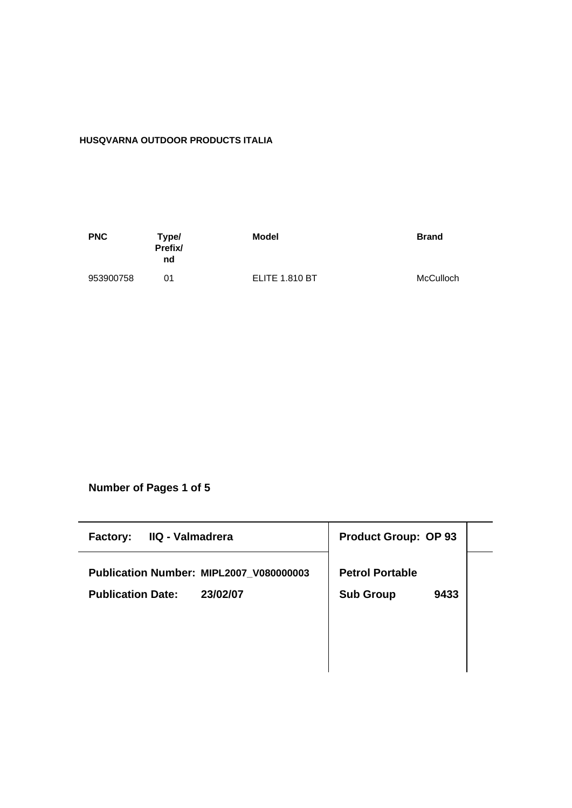# **HUSQVARNA OUTDOOR PRODUCTS ITALIA**

| <b>PNC</b> | Type/<br>Prefix/<br>nd | Model                 | <b>Brand</b> |
|------------|------------------------|-----------------------|--------------|
| 953900758  | በ1                     | <b>ELITE 1.810 BT</b> | McCulloch    |

**Number of Pages 1 of 5**

| IIQ - Valmadrera<br><b>Factory:</b>     | <b>Product Group: OP 93</b> |
|-----------------------------------------|-----------------------------|
| Publication Number: MIPL2007_V080000003 | <b>Petrol Portable</b>      |
| 23/02/07<br><b>Publication Date:</b>    | <b>Sub Group</b><br>9433    |
|                                         |                             |
|                                         |                             |
|                                         |                             |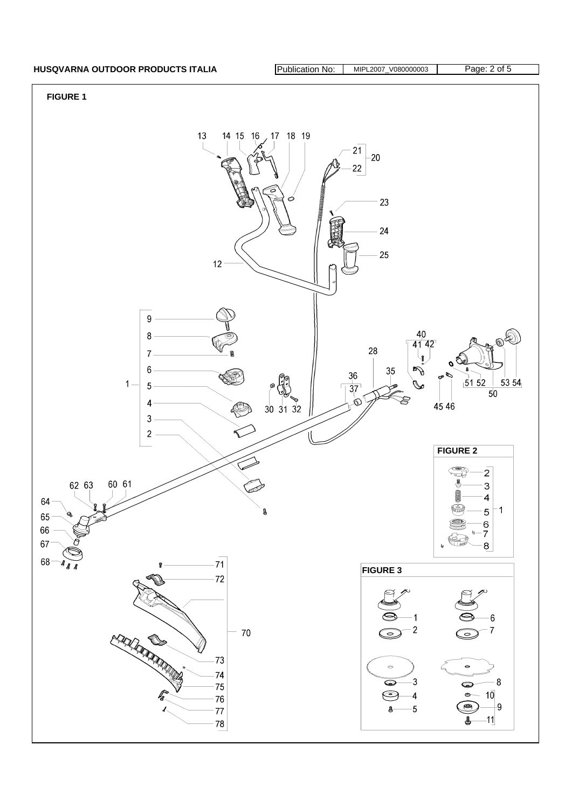## HUSQVARNA OUTDOOR PRODUCTS ITALIA **Publication No: MIPL2007\_V080000003** Page: 2 of 5

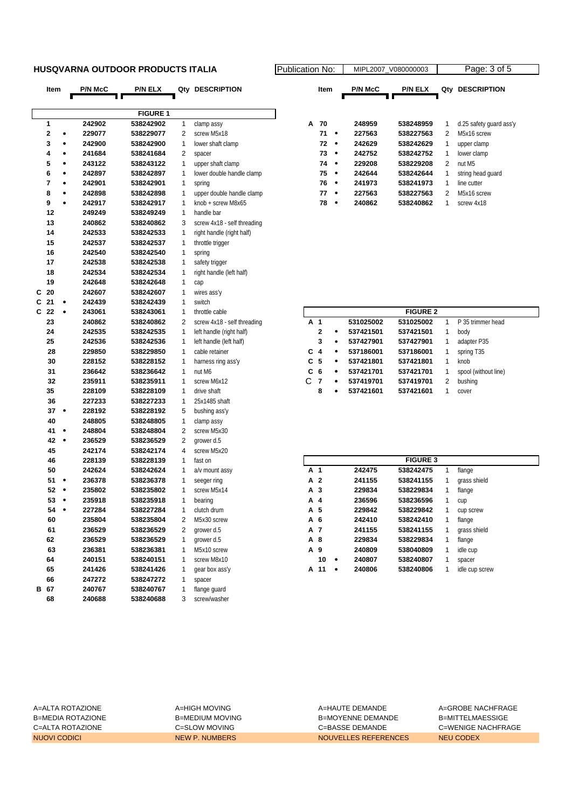### **HUSQVARNA OUTDOOR PRODUCTS ITALIA Publication No: Propriet No: Algorithment**

|   | Item           |           | P/N McC | <b>P/N ELX</b>  | Qty | <b>DESCRIPTION</b>          |   | Item                    |           | <b>P/N McC</b> | P/N ELX         |              | Qty DESCRIPTION         |
|---|----------------|-----------|---------|-----------------|-----|-----------------------------|---|-------------------------|-----------|----------------|-----------------|--------------|-------------------------|
|   |                |           |         |                 |     |                             |   |                         |           |                |                 |              |                         |
|   |                |           |         | <b>FIGURE 1</b> |     |                             |   |                         |           |                |                 |              |                         |
|   | 1              |           | 242902  | 538242902       | 1   | clamp assy                  | А | 70                      |           | 248959         | 538248959       | 1            | d.25 safety guard ass'y |
|   | $\bf{2}$       | ٠         | 229077  | 538229077       | 2   | screw M5x18                 |   | 71                      | $\bullet$ | 227563         | 538227563       | 2            | M5x16 screw             |
|   | 3              | $\bullet$ | 242900  | 538242900       | 1   | lower shaft clamp           |   | 72                      | $\bullet$ | 242629         | 538242629       | 1            | upper clamp             |
|   | 4              | ٠         | 241684  | 538241684       | 2   | spacer                      |   | 73                      | $\bullet$ | 242752         | 538242752       | 1            | lower clamp             |
|   | 5              | $\bullet$ | 243122  | 538243122       | 1   | upper shaft clamp           |   | 74                      | $\bullet$ | 229208         | 538229208       | 2            | nut M5                  |
|   | 6              | $\bullet$ | 242897  | 538242897       | 1   | lower double handle clamp   |   | 75                      | $\bullet$ | 242644         | 538242644       | 1            | string head guard       |
|   | $\overline{7}$ | $\bullet$ | 242901  | 538242901       | 1   | spring                      |   | 76                      | $\bullet$ | 241973         | 538241973       | 1            | line cutter             |
|   | 8              | ٠         | 242898  | 538242898       | 1   | upper double handle clamp   |   | 77                      | $\bullet$ | 227563         | 538227563       | 2            | M5x16 screw             |
|   | 9              | $\bullet$ | 242917  | 538242917       | 1   | knob + screw M8x65          |   | 78                      | $\bullet$ | 240862         | 538240862       | $\mathbf{1}$ | screw 4x18              |
|   | 12             |           | 249249  | 538249249       | 1   | handle bar                  |   |                         |           |                |                 |              |                         |
|   | 13             |           | 240862  | 538240862       | 3   | screw 4x18 - self threading |   |                         |           |                |                 |              |                         |
|   | 14             |           | 242533  | 538242533       | 1   | right handle (right half)   |   |                         |           |                |                 |              |                         |
|   | 15             |           | 242537  | 538242537       | 1   | throttle trigger            |   |                         |           |                |                 |              |                         |
|   | 16             |           | 242540  | 538242540       | 1   | spring                      |   |                         |           |                |                 |              |                         |
|   | 17             |           | 242538  | 538242538       | 1   | safety trigger              |   |                         |           |                |                 |              |                         |
|   | 18             |           | 242534  | 538242534       | 1   | right handle (left half)    |   |                         |           |                |                 |              |                         |
|   | 19             |           | 242648  | 538242648       | 1   | cap                         |   |                         |           |                |                 |              |                         |
| C | 20             |           | 242607  | 538242607       | 1   | wires ass'y                 |   |                         |           |                |                 |              |                         |
| C | 21             | ٠         | 242439  | 538242439       | 1   | switch                      |   |                         |           |                |                 |              |                         |
| C | 22             | $\bullet$ | 243061  | 538243061       | 1   | throttle cable              |   |                         |           |                | <b>FIGURE 2</b> |              |                         |
|   | 23             |           | 240862  | 538240862       | 2   | screw 4x18 - self threading |   | A 1                     |           | 531025002      | 531025002       | $\mathbf{1}$ | P 35 trimmer head       |
|   | 24             |           | 242535  | 538242535       | 1   | left handle (right half)    |   | $\mathbf 2$             |           | 537421501      | 537421501       | 1            | body                    |
|   | 25             |           | 242536  | 538242536       | 1   | left handle (left half)     |   | 3                       | $\bullet$ | 537427901      | 537427901       | 1            | adapter P35             |
|   | 28             |           | 229850  | 538229850       | 1   | cable retainer              | С | $\overline{\mathbf{4}}$ | $\bullet$ | 537186001      | 537186001       | 1            | spring T35              |
|   | 30             |           | 228152  | 538228152       | 1   | harness ring ass'y          |   | C <sub>5</sub>          | $\bullet$ | 537421801      | 537421801       | 1            | knob                    |
|   | 31             |           | 236642  | 538236642       | 1   | nut M6                      | C | 6                       | $\bullet$ | 537421701      | 537421701       | 1            | spool (without line)    |
|   | 32             |           | 235911  | 538235911       | 1   | screw M6x12                 | C | $\overline{7}$          | ٠         | 537419701      | 537419701       | 2            | bushing                 |
|   | 35             |           | 228109  | 538228109       | 1   | drive shaft                 |   | 8                       | $\bullet$ | 537421601      | 537421601       | 1            | cover                   |
|   | 36             |           | 227233  | 538227233       | 1   | 25x1485 shaft               |   |                         |           |                |                 |              |                         |
|   | 37             | $\bullet$ | 228192  | 538228192       | 5   | bushing ass'y               |   |                         |           |                |                 |              |                         |
|   | 40             |           | 248805  | 538248805       | 1   | clamp assy                  |   |                         |           |                |                 |              |                         |
|   | 41             | $\bullet$ | 248804  | 538248804       | 2   | screw M5x30                 |   |                         |           |                |                 |              |                         |
|   | 42             | $\bullet$ | 236529  | 538236529       | 2   | grower d.5                  |   |                         |           |                |                 |              |                         |
|   | 45             |           | 242174  | 538242174       | 4   | screw M5x20                 |   |                         |           |                |                 |              |                         |
|   | 46             |           | 228139  | 538228139       | 1   | fast on                     |   |                         |           |                | <b>FIGURE 3</b> |              |                         |
|   | 50             |           | 242624  | 538242624       | 1   | a/v mount assy              |   | A 1                     |           | 242475         | 538242475       | 1            | flange                  |
|   | 51             | $\bullet$ | 236378  | 538236378       | 1   | seeger ring                 |   | A 2                     |           | 241155         | 538241155       | 1            | grass shield            |
|   | 52             | $\bullet$ | 235802  | 538235802       | 1   | screw M5x14                 |   | A 3                     |           | 229834         | 538229834       | 1            | flange                  |
|   | 53             | $\bullet$ | 235918  | 538235918       | 1   | bearing                     |   | A 4                     |           | 236596         | 538236596       | 1            | cup                     |
|   | 54             | ٠         | 227284  | 538227284       | 1   | clutch drum                 |   | A 5                     |           | 229842         | 538229842       | 1            | cup screw               |
|   | 60             |           | 235804  | 538235804       | 2   | M5x30 screw                 |   | A 6                     |           | 242410         | 538242410       | 1            | flange                  |
|   | 61             |           | 236529  | 538236529       | 2   | grower d.5                  |   | A 7                     |           | 241155         | 538241155       | 1            | grass shield            |
|   | 62             |           | 236529  | 538236529       | 1   | grower d.5                  |   | A 8                     |           | 229834         | 538229834       | 1            | flange                  |
|   | 63             |           | 236381  | 538236381       | 1   | M5x10 screw                 |   | A 9                     |           | 240809         | 538040809       | 1            | idle cup                |
|   | 64             |           | 240151  | 538240151       | 1   | screw M8x10                 |   | 10                      | ٠         | 240807         | 538240807       | 1            | spacer                  |
|   | 65             |           | 241426  | 538241426       | 1   | gear box ass'y              |   | A 11                    | ٠         | 240806         | 538240806       | 1            | idle cup screw          |
|   | 66             |           | 247272  | 538247272       | 1   | spacer                      |   |                         |           |                |                 |              |                         |
|   | B 67           |           | 240767  | 538240767       | 1   | flange guard                |   |                         |           |                |                 |              |                         |
|   | 68             |           | 240688  | 538240688       | 3   | screw/washer                |   |                         |           |                |                 |              |                         |

| ation No: |    |   | MIPL2007 V080000003 |                |     | Page: 3 of 5            |  |  |  |
|-----------|----|---|---------------------|----------------|-----|-------------------------|--|--|--|
| Item      |    |   | <b>P/N McC</b>      | <b>P/N ELX</b> | Qtv | <b>DESCRIPTION</b>      |  |  |  |
|           |    |   |                     |                |     |                         |  |  |  |
| А         | 70 |   | 248959              | 538248959      | 1   | d.25 safety guard ass'y |  |  |  |
|           | 71 |   | 227563              | 538227563      | 2   | M5x16 screw             |  |  |  |
|           | 72 | ٠ | 242629              | 538242629      | 1   | upper clamp             |  |  |  |
|           | 73 | ٠ | 242752              | 538242752      | 1   | lower clamp             |  |  |  |
|           | 74 |   | 229208              | 538229208      | 2   | nut M <sub>5</sub>      |  |  |  |
|           | 75 | ٠ | 242644              | 538242644      | 1   | string head quard       |  |  |  |
|           | 76 |   | 241973              | 538241973      | 1   | line cutter             |  |  |  |
|           | 77 |   | 227563              | 538227563      | 2   | M5x16 screw             |  |  |  |
|           | 78 |   | 240862              | 538240862      | 1   | screw 4x18              |  |  |  |
|           |    |   |                     |                |     |                         |  |  |  |

|                | <b>FIGURE 2</b> |   |           |           |   |                      |  |  |  |  |
|----------------|-----------------|---|-----------|-----------|---|----------------------|--|--|--|--|
| A 1            |                 |   | 531025002 | 531025002 |   | P 35 trimmer head    |  |  |  |  |
|                | $\mathbf{2}$    | ٠ | 537421501 | 537421501 | 1 | body                 |  |  |  |  |
|                | 3               | ٠ | 537427901 | 537427901 | 1 | adapter P35          |  |  |  |  |
| $C_4$          |                 | ٠ | 537186001 | 537186001 | 1 | spring T35           |  |  |  |  |
| C 5            |                 | ٠ | 537421801 | 537421801 | 1 | knob                 |  |  |  |  |
| C <sub>6</sub> |                 | ٠ | 537421701 | 537421701 |   | spool (without line) |  |  |  |  |
| C              | 7               | ٠ | 537419701 | 537419701 | 2 | bushing              |  |  |  |  |
|                | 8               | ٠ | 537421601 | 537421601 |   | cover                |  |  |  |  |

|     | <b>FIGURE 3</b> |   |        |           |   |                |  |  |  |  |
|-----|-----------------|---|--------|-----------|---|----------------|--|--|--|--|
| A 1 |                 |   | 242475 | 538242475 | 1 | flange         |  |  |  |  |
|     | A 2             |   | 241155 | 538241155 | 1 | grass shield   |  |  |  |  |
|     | A 3             |   | 229834 | 538229834 | 1 | flange         |  |  |  |  |
|     | A 4             |   | 236596 | 538236596 | 1 | cup            |  |  |  |  |
|     | A 5             |   | 229842 | 538229842 | 1 | cup screw      |  |  |  |  |
|     | A 6             |   | 242410 | 538242410 | 1 | flange         |  |  |  |  |
|     | A 7             |   | 241155 | 538241155 | 1 | grass shield   |  |  |  |  |
|     | A 8             |   | 229834 | 538229834 | 1 | flange         |  |  |  |  |
|     | A 9             |   | 240809 | 538040809 | 1 | idle cup       |  |  |  |  |
|     | 10              | ٠ | 240807 | 538240807 | 1 | spacer         |  |  |  |  |
| А   | 11              | ٠ | 240806 | 538240806 | 1 | idle cup screw |  |  |  |  |

A=ALTA ROTAZIONE A=HIGH MOVING A=HAUTE DEMANDE A=GROBE NACHFRAGE B=MEDIA ROTAZIONE B=MEDIUM MOVING B=MOYENNE DEMANDE B=MITTELMAESSIGE C=ALTA ROTAZIONE C=SLOW MOVING C=BASSE DEMANDE C=WENIGE NACHFRAGE NUOVI CODICI NEW P. NUMBERS NOUVELLES REFERENCES NEU CODEX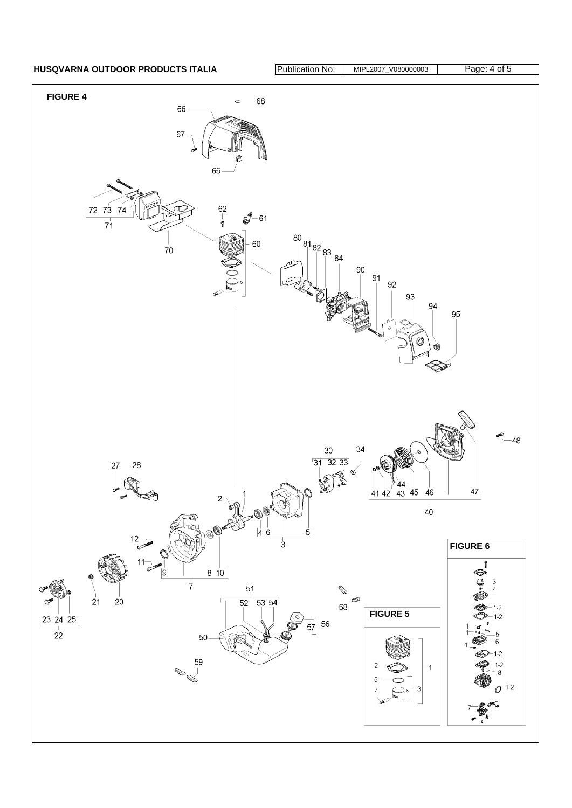HUSQVARNA OUTDOOR PRODUCTS ITALIA **Publication No: MIPL2007\_V080000003** Page: 4 of 5